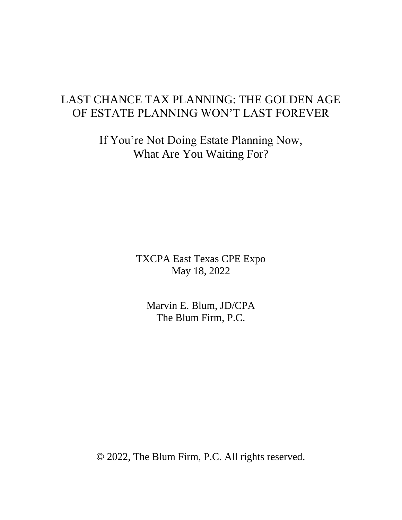# LAST CHANCE TAX PLANNING: THE GOLDEN AGE OF ESTATE PLANNING WON'T LAST FOREVER

If You're Not Doing Estate Planning Now, What Are You Waiting For?

> TXCPA East Texas CPE Expo May 18, 2022

Marvin E. Blum, JD/CPA The Blum Firm, P.C.

© 2022, The Blum Firm, P.C. All rights reserved.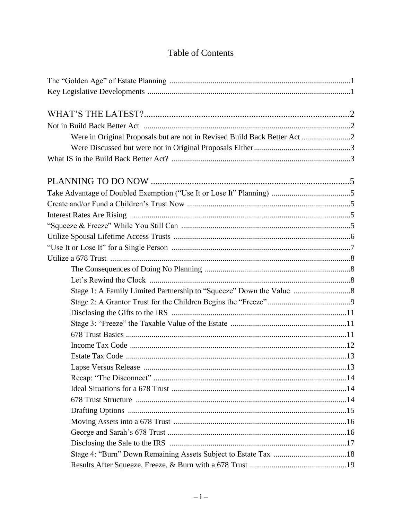## **Table of Contents**

| Were in Original Proposals but are not in Revised Build Back Better Act2 |  |
|--------------------------------------------------------------------------|--|
|                                                                          |  |
|                                                                          |  |
|                                                                          |  |
|                                                                          |  |
|                                                                          |  |
|                                                                          |  |
|                                                                          |  |
|                                                                          |  |
|                                                                          |  |
|                                                                          |  |
|                                                                          |  |
|                                                                          |  |
|                                                                          |  |
|                                                                          |  |
|                                                                          |  |
|                                                                          |  |
|                                                                          |  |
|                                                                          |  |
|                                                                          |  |
|                                                                          |  |
|                                                                          |  |
|                                                                          |  |
|                                                                          |  |
|                                                                          |  |
|                                                                          |  |
|                                                                          |  |
|                                                                          |  |
|                                                                          |  |
|                                                                          |  |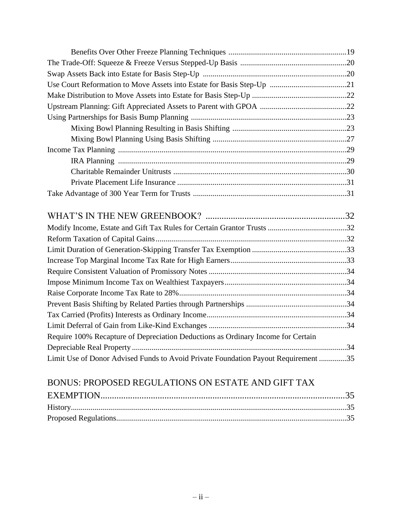| Require 100% Recapture of Depreciation Deductions as Ordinary Income for Certain   |  |
|------------------------------------------------------------------------------------|--|
|                                                                                    |  |
| Limit Use of Donor Advised Funds to Avoid Private Foundation Payout Requirement 35 |  |

# BONUS: PROPOSED REGULATIONS ON ESTATE AND GIFT TAX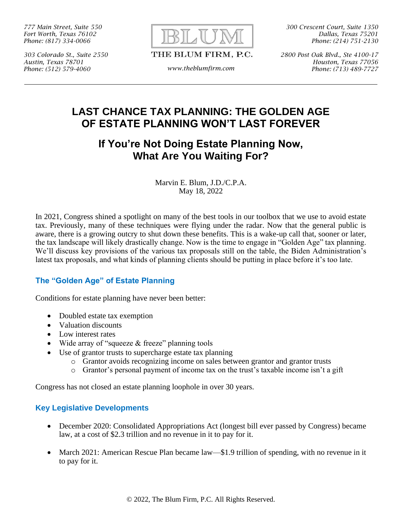*777 Main Street, Suite 550 Fort Worth, Texas 76102 Phone: (817) 334-0066*

*303 Colorado St., Suite 2550 Austin, Texas 78701 Phone: (512) 579-4060 www.theblumfirm.com*



THE BLUM FIRM, P.C.

*300 Crescent Court, Suite 1350 Dallas, Texas 75201 Phone: (214) 751-2130*

*2800 Post Oak Blvd., Ste 4100-17 Houston, Texas 77056 Phone: (713) 489-7727*

## **LAST CHANCE TAX PLANNING: THE GOLDEN AGE OF ESTATE PLANNING WON'T LAST FOREVER**

## **If You're Not Doing Estate Planning Now, What Are You Waiting For?**

Marvin E. Blum, J.D./C.P.A. May 18, 2022

In 2021, Congress shined a spotlight on many of the best tools in our toolbox that we use to avoid estate tax. Previously, many of these techniques were flying under the radar. Now that the general public is aware, there is a growing outcry to shut down these benefits. This is a wake-up call that, sooner or later, the tax landscape will likely drastically change. Now is the time to engage in "Golden Age" tax planning. We'll discuss key provisions of the various tax proposals still on the table, the Biden Administration's latest tax proposals, and what kinds of planning clients should be putting in place before it's too late.

## **The "Golden Age" of Estate Planning**

Conditions for estate planning have never been better:

- Doubled estate tax exemption
- Valuation discounts
- Low interest rates
- Wide array of "squeeze & freeze" planning tools
- Use of grantor trusts to supercharge estate tax planning
	- o Grantor avoids recognizing income on sales between grantor and grantor trusts
	- o Grantor's personal payment of income tax on the trust's taxable income isn't a gift

Congress has not closed an estate planning loophole in over 30 years.

## **Key Legislative Developments**

- December 2020: Consolidated Appropriations Act (longest bill ever passed by Congress) became law, at a cost of \$2.3 trillion and no revenue in it to pay for it.
- March 2021: American Rescue Plan became law—\$1.9 trillion of spending, with no revenue in it to pay for it.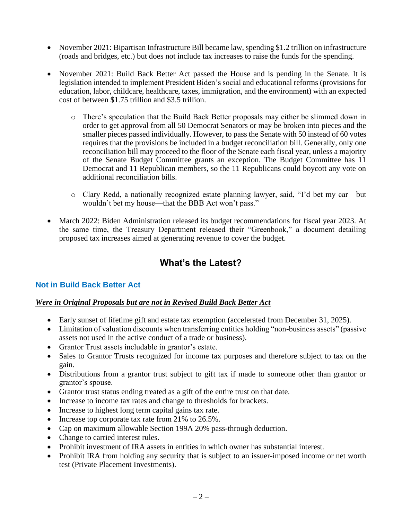- November 2021: Bipartisan Infrastructure Bill became law, spending \$1.2 trillion on infrastructure (roads and bridges, etc.) but does not include tax increases to raise the funds for the spending.
- November 2021: Build Back Better Act passed the House and is pending in the Senate. It is legislation intended to implement President Biden's social and educational reforms (provisions for education, labor, childcare, healthcare, taxes, immigration, and the environment) with an expected cost of between \$1.75 trillion and \$3.5 trillion.
	- o There's speculation that the Build Back Better proposals may either be slimmed down in order to get approval from all 50 Democrat Senators or may be broken into pieces and the smaller pieces passed individually. However, to pass the Senate with 50 instead of 60 votes requires that the provisions be included in a budget reconciliation bill. Generally, only one reconciliation bill may proceed to the floor of the Senate each fiscal year, unless a majority of the Senate Budget Committee grants an exception. The Budget Committee has 11 Democrat and 11 Republican members, so the 11 Republicans could boycott any vote on additional reconciliation bills.
	- o Clary Redd, a nationally recognized estate planning lawyer, said, "I'd bet my car—but wouldn't bet my house—that the BBB Act won't pass."
- March 2022: Biden Administration released its budget recommendations for fiscal year 2023. At the same time, the Treasury Department released their "Greenbook," a document detailing proposed tax increases aimed at generating revenue to cover the budget.

## **What's the Latest?**

## **Not in Build Back Better Act**

### *Were in Original Proposals but are not in Revised Build Back Better Act*

- Early sunset of lifetime gift and estate tax exemption (accelerated from December 31, 2025).
- Limitation of valuation discounts when transferring entities holding "non-business assets" (passive assets not used in the active conduct of a trade or business).
- Grantor Trust assets includable in grantor's estate.
- Sales to Grantor Trusts recognized for income tax purposes and therefore subject to tax on the gain.
- Distributions from a grantor trust subject to gift tax if made to someone other than grantor or grantor's spouse.
- Grantor trust status ending treated as a gift of the entire trust on that date.
- Increase to income tax rates and change to thresholds for brackets.
- Increase to highest long term capital gains tax rate.
- Increase top corporate tax rate from 21% to 26.5%.
- Cap on maximum allowable Section 199A 20% pass-through deduction.
- Change to carried interest rules.
- Prohibit investment of IRA assets in entities in which owner has substantial interest.
- Prohibit IRA from holding any security that is subject to an issuer-imposed income or net worth test (Private Placement Investments).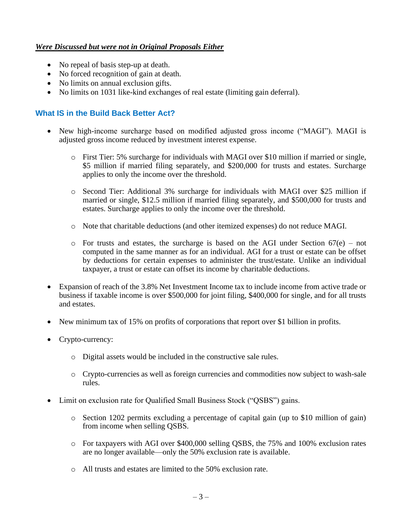### *Were Discussed but were not in Original Proposals Either*

- No repeal of basis step-up at death.
- No forced recognition of gain at death.
- No limits on annual exclusion gifts.
- No limits on 1031 like-kind exchanges of real estate (limiting gain deferral).

### **What IS in the Build Back Better Act?**

- New high-income surcharge based on modified adjusted gross income ("MAGI"). MAGI is adjusted gross income reduced by investment interest expense.
	- o First Tier: 5% surcharge for individuals with MAGI over \$10 million if married or single, \$5 million if married filing separately, and \$200,000 for trusts and estates. Surcharge applies to only the income over the threshold.
	- o Second Tier: Additional 3% surcharge for individuals with MAGI over \$25 million if married or single, \$12.5 million if married filing separately, and \$500,000 for trusts and estates. Surcharge applies to only the income over the threshold.
	- o Note that charitable deductions (and other itemized expenses) do not reduce MAGI.
	- $\circ$  For trusts and estates, the surcharge is based on the AGI under Section 67(e) not computed in the same manner as for an individual. AGI for a trust or estate can be offset by deductions for certain expenses to administer the trust/estate. Unlike an individual taxpayer, a trust or estate can offset its income by charitable deductions.
- Expansion of reach of the 3.8% Net Investment Income tax to include income from active trade or business if taxable income is over \$500,000 for joint filing, \$400,000 for single, and for all trusts and estates.
- New minimum tax of 15% on profits of corporations that report over \$1 billion in profits.
- Crypto-currency:
	- o Digital assets would be included in the constructive sale rules.
	- o Crypto-currencies as well as foreign currencies and commodities now subject to wash-sale rules.
- Limit on exclusion rate for Qualified Small Business Stock ("QSBS") gains.
	- o Section 1202 permits excluding a percentage of capital gain (up to \$10 million of gain) from income when selling QSBS.
	- o For taxpayers with AGI over \$400,000 selling QSBS, the 75% and 100% exclusion rates are no longer available—only the 50% exclusion rate is available.
	- o All trusts and estates are limited to the 50% exclusion rate.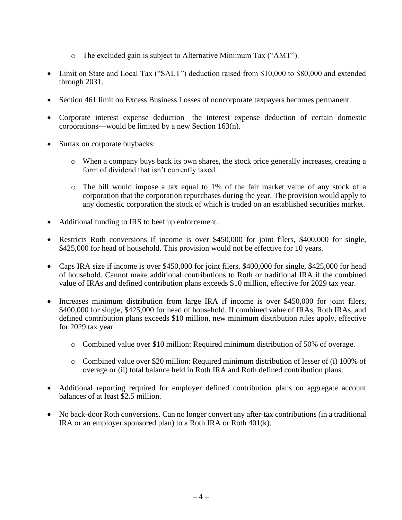- o The excluded gain is subject to Alternative Minimum Tax ("AMT").
- Limit on State and Local Tax ("SALT") deduction raised from \$10,000 to \$80,000 and extended through 2031.
- Section 461 limit on Excess Business Losses of noncorporate taxpayers becomes permanent.
- Corporate interest expense deduction—the interest expense deduction of certain domestic corporations—would be limited by a new Section 163(n).
- Surtax on corporate buybacks:
	- o When a company buys back its own shares, the stock price generally increases, creating a form of dividend that isn't currently taxed.
	- o The bill would impose a tax equal to 1% of the fair market value of any stock of a corporation that the corporation repurchases during the year. The provision would apply to any domestic corporation the stock of which is traded on an established securities market.
- Additional funding to IRS to beef up enforcement.
- Restricts Roth conversions if income is over \$450,000 for joint filers, \$400,000 for single, \$425,000 for head of household. This provision would not be effective for 10 years.
- Caps IRA size if income is over \$450,000 for joint filers, \$400,000 for single, \$425,000 for head of household. Cannot make additional contributions to Roth or traditional IRA if the combined value of IRAs and defined contribution plans exceeds \$10 million, effective for 2029 tax year.
- Increases minimum distribution from large IRA if income is over \$450,000 for joint filers, \$400,000 for single, \$425,000 for head of household. If combined value of IRAs, Roth IRAs, and defined contribution plans exceeds \$10 million, new minimum distribution rules apply, effective for 2029 tax year.
	- o Combined value over \$10 million: Required minimum distribution of 50% of overage.
	- o Combined value over \$20 million: Required minimum distribution of lesser of (i) 100% of overage or (ii) total balance held in Roth IRA and Roth defined contribution plans.
- Additional reporting required for employer defined contribution plans on aggregate account balances of at least \$2.5 million.
- No back-door Roth conversions. Can no longer convert any after-tax contributions (in a traditional IRA or an employer sponsored plan) to a Roth IRA or Roth 401(k).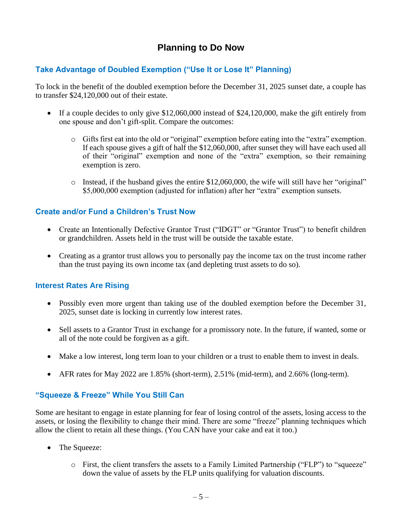## **Planning to Do Now**

## **Take Advantage of Doubled Exemption ("Use It or Lose It" Planning)**

To lock in the benefit of the doubled exemption before the December 31, 2025 sunset date, a couple has to transfer \$24,120,000 out of their estate.

- If a couple decides to only give \$12,060,000 instead of \$24,120,000, make the gift entirely from one spouse and don't gift-split. Compare the outcomes:
	- o Gifts first eat into the old or "original" exemption before eating into the "extra" exemption. If each spouse gives a gift of half the \$12,060,000, after sunset they will have each used all of their "original" exemption and none of the "extra" exemption, so their remaining exemption is zero.
	- $\circ$  Instead, if the husband gives the entire \$12,060,000, the wife will still have her "original" \$5,000,000 exemption (adjusted for inflation) after her "extra" exemption sunsets.

### **Create and/or Fund a Children's Trust Now**

- Create an Intentionally Defective Grantor Trust ("IDGT" or "Grantor Trust") to benefit children or grandchildren. Assets held in the trust will be outside the taxable estate.
- Creating as a grantor trust allows you to personally pay the income tax on the trust income rather than the trust paying its own income tax (and depleting trust assets to do so).

### **Interest Rates Are Rising**

- Possibly even more urgent than taking use of the doubled exemption before the December 31, 2025, sunset date is locking in currently low interest rates.
- Sell assets to a Grantor Trust in exchange for a promissory note. In the future, if wanted, some or all of the note could be forgiven as a gift.
- Make a low interest, long term loan to your children or a trust to enable them to invest in deals.
- AFR rates for May 2022 are 1.85% (short-term), 2.51% (mid-term), and 2.66% (long-term).

### **"Squeeze & Freeze" While You Still Can**

Some are hesitant to engage in estate planning for fear of losing control of the assets, losing access to the assets, or losing the flexibility to change their mind. There are some "freeze" planning techniques which allow the client to retain all these things. (You CAN have your cake and eat it too.)

- The Squeeze:
	- $\circ$  First, the client transfers the assets to a Family Limited Partnership ("FLP") to "squeeze" down the value of assets by the FLP units qualifying for valuation discounts.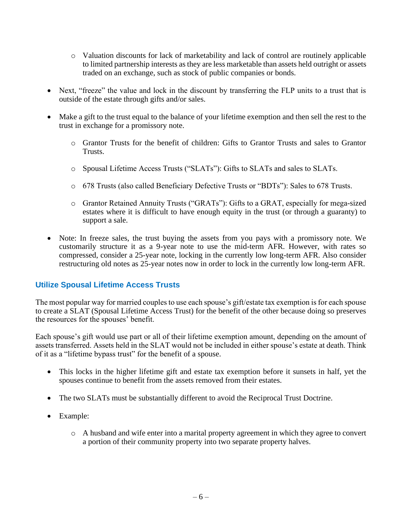- o Valuation discounts for lack of marketability and lack of control are routinely applicable to limited partnership interests as they are less marketable than assets held outright or assets traded on an exchange, such as stock of public companies or bonds.
- Next, "freeze" the value and lock in the discount by transferring the FLP units to a trust that is outside of the estate through gifts and/or sales.
- Make a gift to the trust equal to the balance of your lifetime exemption and then sell the rest to the trust in exchange for a promissory note.
	- o Grantor Trusts for the benefit of children: Gifts to Grantor Trusts and sales to Grantor Trusts.
	- o Spousal Lifetime Access Trusts ("SLATs"): Gifts to SLATs and sales to SLATs.
	- o 678 Trusts (also called Beneficiary Defective Trusts or "BDTs"): Sales to 678 Trusts.
	- o Grantor Retained Annuity Trusts ("GRATs"): Gifts to a GRAT, especially for mega-sized estates where it is difficult to have enough equity in the trust (or through a guaranty) to support a sale.
- Note: In freeze sales, the trust buying the assets from you pays with a promissory note. We customarily structure it as a 9-year note to use the mid-term AFR. However, with rates so compressed, consider a 25-year note, locking in the currently low long-term AFR. Also consider restructuring old notes as 25-year notes now in order to lock in the currently low long-term AFR.

### **Utilize Spousal Lifetime Access Trusts**

The most popular way for married couples to use each spouse's gift/estate tax exemption is for each spouse to create a SLAT (Spousal Lifetime Access Trust) for the benefit of the other because doing so preserves the resources for the spouses' benefit.

Each spouse's gift would use part or all of their lifetime exemption amount, depending on the amount of assets transferred. Assets held in the SLAT would not be included in either spouse's estate at death. Think of it as a "lifetime bypass trust" for the benefit of a spouse.

- This locks in the higher lifetime gift and estate tax exemption before it sunsets in half, yet the spouses continue to benefit from the assets removed from their estates.
- The two SLATs must be substantially different to avoid the Reciprocal Trust Doctrine.
- Example:
	- o A husband and wife enter into a marital property agreement in which they agree to convert a portion of their community property into two separate property halves.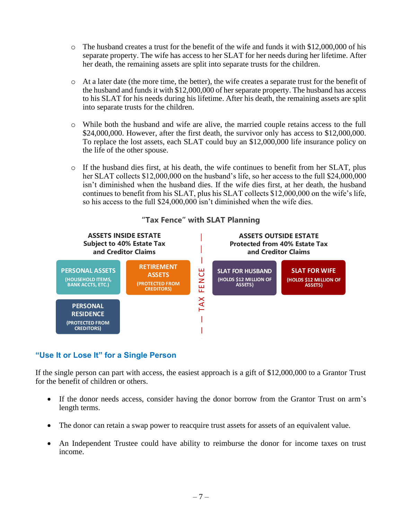- o The husband creates a trust for the benefit of the wife and funds it with \$12,000,000 of his separate property. The wife has access to her SLAT for her needs during her lifetime. After her death, the remaining assets are split into separate trusts for the children.
- o At a later date (the more time, the better), the wife creates a separate trust for the benefit of the husband and funds it with \$12,000,000 of her separate property. The husband has access to his SLAT for his needs during his lifetime. After his death, the remaining assets are split into separate trusts for the children.
- o While both the husband and wife are alive, the married couple retains access to the full \$24,000,000. However, after the first death, the survivor only has access to \$12,000,000. To replace the lost assets, each SLAT could buy an \$12,000,000 life insurance policy on the life of the other spouse.
- o If the husband dies first, at his death, the wife continues to benefit from her SLAT, plus her SLAT collects \$12,000,000 on the husband's life, so her access to the full \$24,000,000 isn't diminished when the husband dies. If the wife dies first, at her death, the husband continues to benefit from his SLAT, plus his SLAT collects \$12,000,000 on the wife's life, so his access to the full \$24,000,000 isn't diminished when the wife dies.



# **"Tax Fence" with SLAT Planning "Tax Fence" With Planning** Tax Fence with SLAT Planning

## **"Use It or Lose It" for a Single Person**

If the single person can part with access, the easiest approach is a gift of \$12,000,000 to a Grantor Trust for the benefit of children or others.  $\ddot{\phantom{0}}$ **INVESTMENTS)**

- If the donor needs access, consider having the donor borrow from the Grantor Trust on arm's length terms.
- The donor can retain a swap power to reacquire trust assets for assets of an equivalent value.
- An Independent Trustee could have ability to reimburse the donor for income taxes on trust income.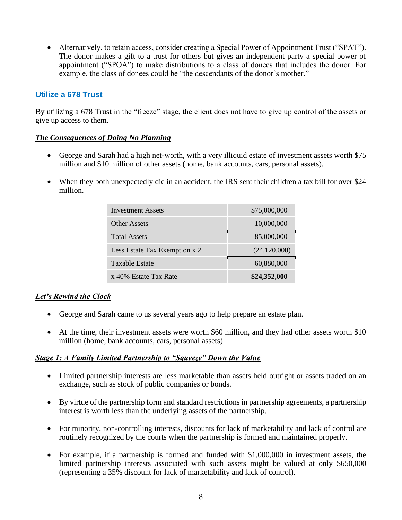• Alternatively, to retain access, consider creating a Special Power of Appointment Trust ("SPAT"). The donor makes a gift to a trust for others but gives an independent party a special power of appointment ("SPOA") to make distributions to a class of donees that includes the donor. For example, the class of donees could be "the descendants of the donor's mother."

## **Utilize a 678 Trust**

By utilizing a 678 Trust in the "freeze" stage, the client does not have to give up control of the assets or give up access to them.

### *The Consequences of Doing No Planning*

- George and Sarah had a high net-worth, with a very illiquid estate of investment assets worth \$75 million and \$10 million of other assets (home, bank accounts, cars, personal assets).
- When they both unexpectedly die in an accident, the IRS sent their children a tax bill for over \$24 million.

| <b>Investment Assets</b>      | \$75,000,000 |
|-------------------------------|--------------|
| Other Assets                  | 10,000,000   |
| <b>Total Assets</b>           | 85,000,000   |
| Less Estate Tax Exemption x 2 | (24,120,000) |
| Taxable Estate                | 60,880,000   |
| x 40% Estate Tax Rate         | \$24,352,000 |

### *Let's Rewind the Clock*

- George and Sarah came to us several years ago to help prepare an estate plan.
- At the time, their investment assets were worth \$60 million, and they had other assets worth \$10 million (home, bank accounts, cars, personal assets).

### *Stage 1: A Family Limited Partnership to "Squeeze" Down the Value*

- Limited partnership interests are less marketable than assets held outright or assets traded on an exchange, such as stock of public companies or bonds.
- By virtue of the partnership form and standard restrictions in partnership agreements, a partnership interest is worth less than the underlying assets of the partnership.
- For minority, non-controlling interests, discounts for lack of marketability and lack of control are routinely recognized by the courts when the partnership is formed and maintained properly.
- For example, if a partnership is formed and funded with \$1,000,000 in investment assets, the limited partnership interests associated with such assets might be valued at only \$650,000 (representing a 35% discount for lack of marketability and lack of control).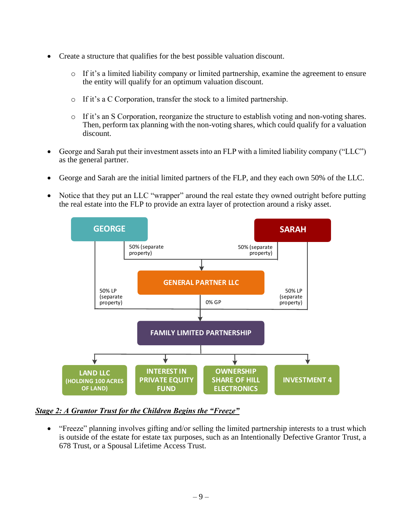- Create a structure that qualifies for the best possible valuation discount.
	- $\circ$  If it's a limited liability company or limited partnership, examine the agreement to ensure the entity will qualify for an optimum valuation discount.
	- o If it's a C Corporation, transfer the stock to a limited partnership.
	- o If it's an S Corporation, reorganize the structure to establish voting and non-voting shares. Then, perform tax planning with the non-voting shares, which could qualify for a valuation discount.
- George and Sarah put their investment assets into an FLP with a limited liability company ("LLC") as the general partner.
- George and Sarah are the initial limited partners of the FLP, and they each own 50% of the LLC.
- Notice that they put an LLC "wrapper" around the real estate they owned outright before putting the real estate into the FLP to provide an extra layer of protection around a risky asset.



## *Stage 2: A Grantor Trust for the Children Begins the "Freeze"*

• "Freeze" planning involves gifting and/or selling the limited partnership interests to a trust which is outside of the estate for estate tax purposes, such as an Intentionally Defective Grantor Trust, a 678 Trust, or a Spousal Lifetime Access Trust.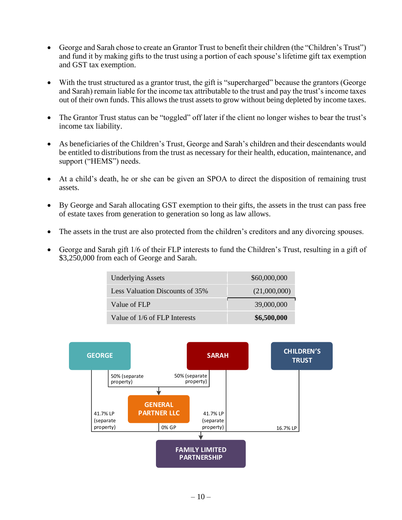- George and Sarah chose to create an Grantor Trust to benefit their children (the "Children's Trust") and fund it by making gifts to the trust using a portion of each spouse's lifetime gift tax exemption and GST tax exemption.
- With the trust structured as a grantor trust, the gift is "supercharged" because the grantors (George and Sarah) remain liable for the income tax attributable to the trust and pay the trust's income taxes out of their own funds. This allows the trust assets to grow without being depleted by income taxes.
- The Grantor Trust status can be "toggled" off later if the client no longer wishes to bear the trust's income tax liability.
- As beneficiaries of the Children's Trust, George and Sarah's children and their descendants would be entitled to distributions from the trust as necessary for their health, education, maintenance, and support ("HEMS") needs.
- At a child's death, he or she can be given an SPOA to direct the disposition of remaining trust assets.
- By George and Sarah allocating GST exemption to their gifts, the assets in the trust can pass free of estate taxes from generation to generation so long as law allows.
- The assets in the trust are also protected from the children's creditors and any divorcing spouses.
- George and Sarah gift 1/6 of their FLP interests to fund the Children's Trust, resulting in a gift of \$3,250,000 from each of George and Sarah.

| <b>Underlying Assets</b>        | \$60,000,000 |
|---------------------------------|--------------|
| Less Valuation Discounts of 35% | (21,000,000) |
| Value of FLP                    | 39,000,000   |
| Value of 1/6 of FLP Interests   | \$6,500,000  |

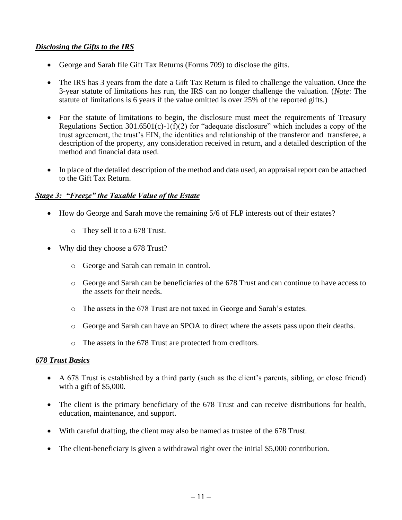### *Disclosing the Gifts to the IRS*

- George and Sarah file Gift Tax Returns (Forms 709) to disclose the gifts.
- The IRS has 3 years from the date a Gift Tax Return is filed to challenge the valuation. Once the 3-year statute of limitations has run, the IRS can no longer challenge the valuation. (*Note*: The statute of limitations is 6 years if the value omitted is over 25% of the reported gifts.)
- For the statute of limitations to begin, the disclosure must meet the requirements of Treasury Regulations Section  $301.6501(c) - 1(f)(2)$  for "adequate disclosure" which includes a copy of the trust agreement, the trust's EIN, the identities and relationship of the transferor and transferee, a description of the property, any consideration received in return, and a detailed description of the method and financial data used.
- In place of the detailed description of the method and data used, an appraisal report can be attached to the Gift Tax Return.

### *Stage 3: "Freeze" the Taxable Value of the Estate*

- How do George and Sarah move the remaining 5/6 of FLP interests out of their estates?
	- o They sell it to a 678 Trust.
- Why did they choose a 678 Trust?
	- o George and Sarah can remain in control.
	- o George and Sarah can be beneficiaries of the 678 Trust and can continue to have access to the assets for their needs.
	- o The assets in the 678 Trust are not taxed in George and Sarah's estates.
	- o George and Sarah can have an SPOA to direct where the assets pass upon their deaths.
	- o The assets in the 678 Trust are protected from creditors.

### *678 Trust Basics*

- A 678 Trust is established by a third party (such as the client's parents, sibling, or close friend) with a gift of \$5,000.
- The client is the primary beneficiary of the 678 Trust and can receive distributions for health, education, maintenance, and support.
- With careful drafting, the client may also be named as trustee of the 678 Trust.
- The client-beneficiary is given a withdrawal right over the initial \$5,000 contribution.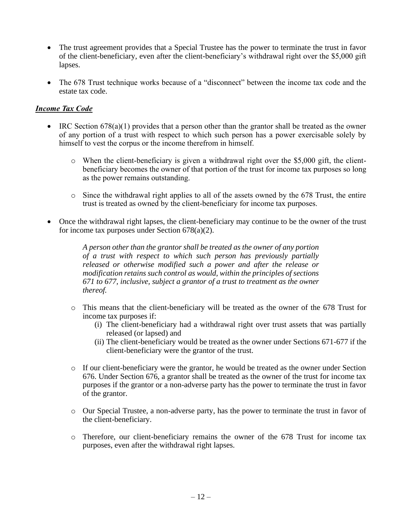- The trust agreement provides that a Special Trustee has the power to terminate the trust in favor of the client-beneficiary, even after the client-beneficiary's withdrawal right over the \$5,000 gift lapses.
- The 678 Trust technique works because of a "disconnect" between the income tax code and the estate tax code.

### *Income Tax Code*

- IRC Section 678(a)(1) provides that a person other than the grantor shall be treated as the owner of any portion of a trust with respect to which such person has a power exercisable solely by himself to vest the corpus or the income therefrom in himself.
	- $\circ$  When the client-beneficiary is given a withdrawal right over the \$5,000 gift, the clientbeneficiary becomes the owner of that portion of the trust for income tax purposes so long as the power remains outstanding.
	- o Since the withdrawal right applies to all of the assets owned by the 678 Trust, the entire trust is treated as owned by the client-beneficiary for income tax purposes.
- Once the withdrawal right lapses, the client-beneficiary may continue to be the owner of the trust for income tax purposes under Section 678(a)(2).

*A person other than the grantor shall be treated as the owner of any portion of a trust with respect to which such person has previously partially released or otherwise modified such a power and after the release or modification retains such control as would, within the principles of sections 671 to 677, inclusive, subject a grantor of a trust to treatment as the owner thereof.* 

- o This means that the client-beneficiary will be treated as the owner of the 678 Trust for income tax purposes if:
	- (i) The client-beneficiary had a withdrawal right over trust assets that was partially released (or lapsed) and
	- (ii) The client-beneficiary would be treated as the owner under Sections 671-677 if the client-beneficiary were the grantor of the trust.
- o If our client-beneficiary were the grantor, he would be treated as the owner under Section 676. Under Section 676, a grantor shall be treated as the owner of the trust for income tax purposes if the grantor or a non-adverse party has the power to terminate the trust in favor of the grantor.
- o Our Special Trustee, a non-adverse party, has the power to terminate the trust in favor of the client-beneficiary.
- o Therefore, our client-beneficiary remains the owner of the 678 Trust for income tax purposes, even after the withdrawal right lapses.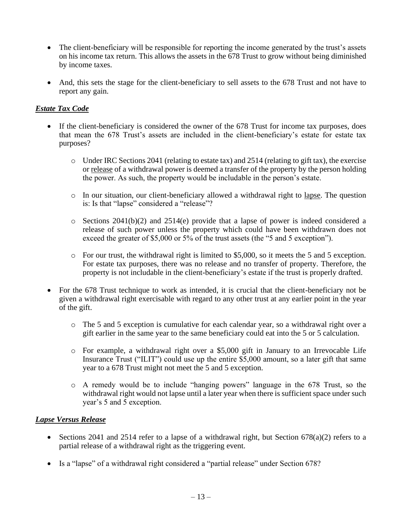- The client-beneficiary will be responsible for reporting the income generated by the trust's assets on his income tax return. This allows the assets in the 678 Trust to grow without being diminished by income taxes.
- And, this sets the stage for the client-beneficiary to sell assets to the 678 Trust and not have to report any gain.

## *Estate Tax Code*

- If the client-beneficiary is considered the owner of the 678 Trust for income tax purposes, does that mean the 678 Trust's assets are included in the client-beneficiary's estate for estate tax purposes?
	- $\circ$  Under IRC Sections 2041 (relating to estate tax) and 2514 (relating to gift tax), the exercise or release of a withdrawal power is deemed a transfer of the property by the person holding the power. As such, the property would be includable in the person's estate.
	- o In our situation, our client-beneficiary allowed a withdrawal right to lapse. The question is: Is that "lapse" considered a "release"?
	- o Sections 2041(b)(2) and 2514(e) provide that a lapse of power is indeed considered a release of such power unless the property which could have been withdrawn does not exceed the greater of \$5,000 or 5% of the trust assets (the "5 and 5 exception").
	- o For our trust, the withdrawal right is limited to \$5,000, so it meets the 5 and 5 exception. For estate tax purposes, there was no release and no transfer of property. Therefore, the property is not includable in the client-beneficiary's estate if the trust is properly drafted.
- For the 678 Trust technique to work as intended, it is crucial that the client-beneficiary not be given a withdrawal right exercisable with regard to any other trust at any earlier point in the year of the gift.
	- o The 5 and 5 exception is cumulative for each calendar year, so a withdrawal right over a gift earlier in the same year to the same beneficiary could eat into the 5 or 5 calculation.
	- o For example, a withdrawal right over a \$5,000 gift in January to an Irrevocable Life Insurance Trust ("ILIT") could use up the entire \$5,000 amount, so a later gift that same year to a 678 Trust might not meet the 5 and 5 exception.
	- o A remedy would be to include "hanging powers" language in the 678 Trust, so the withdrawal right would not lapse until a later year when there is sufficient space under such year's 5 and 5 exception.

### *Lapse Versus Release*

- Sections 2041 and 2514 refer to a lapse of a withdrawal right, but Section  $678(a)(2)$  refers to a partial release of a withdrawal right as the triggering event.
- Is a "lapse" of a withdrawal right considered a "partial release" under Section 678?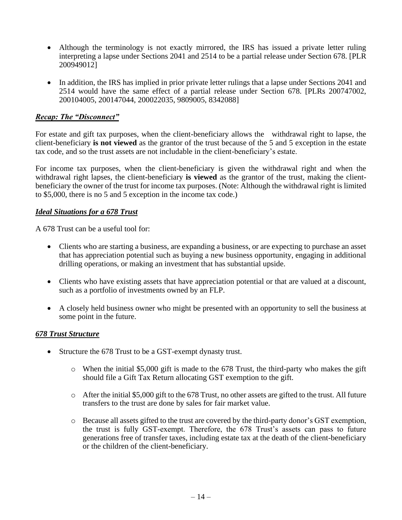- Although the terminology is not exactly mirrored, the IRS has issued a private letter ruling interpreting a lapse under Sections 2041 and 2514 to be a partial release under Section 678. [PLR 200949012]
- In addition, the IRS has implied in prior private letter rulings that a lapse under Sections 2041 and 2514 would have the same effect of a partial release under Section 678. [PLRs 200747002, 200104005, 200147044, 200022035, 9809005, 8342088]

### *Recap: The "Disconnect"*

For estate and gift tax purposes, when the client-beneficiary allows the withdrawal right to lapse, the client-beneficiary **is not viewed** as the grantor of the trust because of the 5 and 5 exception in the estate tax code, and so the trust assets are not includable in the client-beneficiary's estate.

For income tax purposes, when the client-beneficiary is given the withdrawal right and when the withdrawal right lapses, the client-beneficiary **is viewed** as the grantor of the trust, making the clientbeneficiary the owner of the trust for income tax purposes. (Note: Although the withdrawal right is limited to \$5,000, there is no 5 and 5 exception in the income tax code.)

### *Ideal Situations for a 678 Trust*

A 678 Trust can be a useful tool for:

- Clients who are starting a business, are expanding a business, or are expecting to purchase an asset that has appreciation potential such as buying a new business opportunity, engaging in additional drilling operations, or making an investment that has substantial upside.
- Clients who have existing assets that have appreciation potential or that are valued at a discount, such as a portfolio of investments owned by an FLP.
- A closely held business owner who might be presented with an opportunity to sell the business at some point in the future.

### *678 Trust Structure*

- Structure the 678 Trust to be a GST-exempt dynasty trust.
	- $\circ$  When the initial \$5,000 gift is made to the 678 Trust, the third-party who makes the gift should file a Gift Tax Return allocating GST exemption to the gift.
	- o After the initial \$5,000 gift to the 678 Trust, no other assets are gifted to the trust. All future transfers to the trust are done by sales for fair market value.
	- o Because all assets gifted to the trust are covered by the third-party donor's GST exemption, the trust is fully GST-exempt. Therefore, the 678 Trust's assets can pass to future generations free of transfer taxes, including estate tax at the death of the client-beneficiary or the children of the client-beneficiary.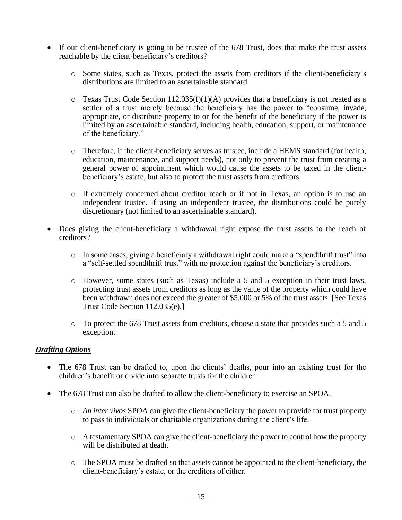- If our client-beneficiary is going to be trustee of the 678 Trust, does that make the trust assets reachable by the client-beneficiary's creditors?
	- o Some states, such as Texas, protect the assets from creditors if the client-beneficiary's distributions are limited to an ascertainable standard.
	- $\circ$  Texas Trust Code Section 112.035(f)(1)(A) provides that a beneficiary is not treated as a settlor of a trust merely because the beneficiary has the power to "consume, invade, appropriate, or distribute property to or for the benefit of the beneficiary if the power is limited by an ascertainable standard, including health, education, support, or maintenance of the beneficiary."
	- o Therefore, if the client-beneficiary serves as trustee, include a HEMS standard (for health, education, maintenance, and support needs), not only to prevent the trust from creating a general power of appointment which would cause the assets to be taxed in the clientbeneficiary's estate, but also to protect the trust assets from creditors.
	- o If extremely concerned about creditor reach or if not in Texas, an option is to use an independent trustee. If using an independent trustee, the distributions could be purely discretionary (not limited to an ascertainable standard).
- Does giving the client-beneficiary a withdrawal right expose the trust assets to the reach of creditors?
	- o In some cases, giving a beneficiary a withdrawal right could make a "spendthrift trust" into a "self-settled spendthrift trust" with no protection against the beneficiary's creditors.
	- o However, some states (such as Texas) include a 5 and 5 exception in their trust laws, protecting trust assets from creditors as long as the value of the property which could have been withdrawn does not exceed the greater of \$5,000 or 5% of the trust assets. [See Texas Trust Code Section 112.035(e).]
	- o To protect the 678 Trust assets from creditors, choose a state that provides such a 5 and 5 exception.

### *Drafting Options*

- The 678 Trust can be drafted to, upon the clients' deaths, pour into an existing trust for the children's benefit or divide into separate trusts for the children.
- The 678 Trust can also be drafted to allow the client-beneficiary to exercise an SPOA.
	- o *An inter vivos* SPOA can give the client-beneficiary the power to provide for trust property to pass to individuals or charitable organizations during the client's life.
	- o A testamentary SPOA can give the client-beneficiary the power to control how the property will be distributed at death.
	- o The SPOA must be drafted so that assets cannot be appointed to the client-beneficiary, the client-beneficiary's estate, or the creditors of either.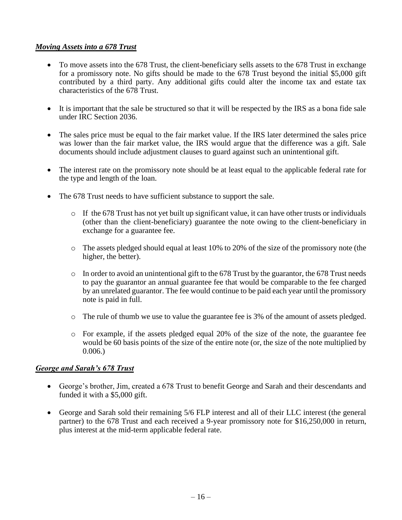### *Moving Assets into a 678 Trust*

- To move assets into the 678 Trust, the client-beneficiary sells assets to the 678 Trust in exchange for a promissory note. No gifts should be made to the 678 Trust beyond the initial \$5,000 gift contributed by a third party. Any additional gifts could alter the income tax and estate tax characteristics of the 678 Trust.
- It is important that the sale be structured so that it will be respected by the IRS as a bona fide sale under IRC Section 2036.
- The sales price must be equal to the fair market value. If the IRS later determined the sales price was lower than the fair market value, the IRS would argue that the difference was a gift. Sale documents should include adjustment clauses to guard against such an unintentional gift.
- The interest rate on the promissory note should be at least equal to the applicable federal rate for the type and length of the loan.
- The 678 Trust needs to have sufficient substance to support the sale.
	- o If the 678 Trust has not yet built up significant value, it can have other trusts or individuals (other than the client-beneficiary) guarantee the note owing to the client-beneficiary in exchange for a guarantee fee.
	- o The assets pledged should equal at least 10% to 20% of the size of the promissory note (the higher, the better).
	- $\circ$  In order to avoid an unintentional gift to the 678 Trust by the guarantor, the 678 Trust needs to pay the guarantor an annual guarantee fee that would be comparable to the fee charged by an unrelated guarantor. The fee would continue to be paid each year until the promissory note is paid in full.
	- o The rule of thumb we use to value the guarantee fee is 3% of the amount of assets pledged.
	- $\circ$  For example, if the assets pledged equal 20% of the size of the note, the guarantee fee would be 60 basis points of the size of the entire note (or, the size of the note multiplied by 0.006.)

### *George and Sarah's 678 Trust*

- George's brother, Jim, created a 678 Trust to benefit George and Sarah and their descendants and funded it with a \$5,000 gift.
- George and Sarah sold their remaining 5/6 FLP interest and all of their LLC interest (the general partner) to the 678 Trust and each received a 9-year promissory note for \$16,250,000 in return, plus interest at the mid-term applicable federal rate.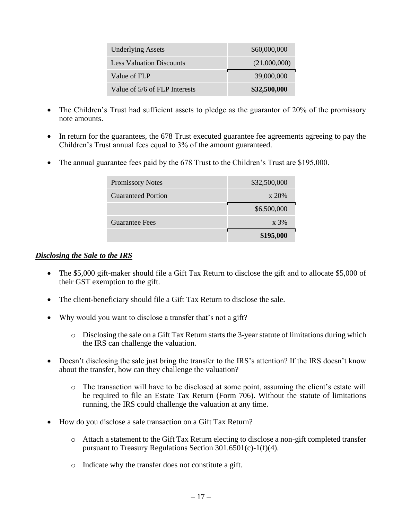| <b>Underlying Assets</b>        | \$60,000,000 |
|---------------------------------|--------------|
| <b>Less Valuation Discounts</b> | (21,000,000) |
| Value of FLP                    | 39,000,000   |
| Value of 5/6 of FLP Interests   | \$32,500,000 |

- The Children's Trust had sufficient assets to pledge as the guarantor of 20% of the promissory note amounts.
- In return for the guarantees, the 678 Trust executed guarantee fee agreements agreeing to pay the Children's Trust annual fees equal to 3% of the amount guaranteed.
- The annual guarantee fees paid by the 678 Trust to the Children's Trust are \$195,000.

| <b>Promissory Notes</b>   | \$32,500,000    |  |
|---------------------------|-----------------|--|
| <b>Guaranteed Portion</b> | x 20%           |  |
|                           | \$6,500,000     |  |
| <b>Guarantee Fees</b>     | $\mathrm{x}$ 3% |  |
|                           | \$195,000       |  |

#### *Disclosing the Sale to the IRS*

- The \$5,000 gift-maker should file a Gift Tax Return to disclose the gift and to allocate \$5,000 of their GST exemption to the gift.
- The client-beneficiary should file a Gift Tax Return to disclose the sale.
- Why would you want to disclose a transfer that's not a gift?
	- o Disclosing the sale on a Gift Tax Return starts the 3-year statute of limitations during which the IRS can challenge the valuation.
- Doesn't disclosing the sale just bring the transfer to the IRS's attention? If the IRS doesn't know about the transfer, how can they challenge the valuation?
	- o The transaction will have to be disclosed at some point, assuming the client's estate will be required to file an Estate Tax Return (Form 706). Without the statute of limitations running, the IRS could challenge the valuation at any time.
- How do you disclose a sale transaction on a Gift Tax Return?
	- o Attach a statement to the Gift Tax Return electing to disclose a non-gift completed transfer pursuant to Treasury Regulations Section 301.6501(c)-1(f)(4).
	- o Indicate why the transfer does not constitute a gift.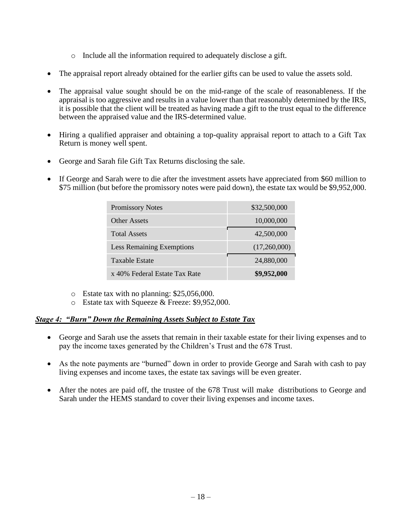- o Include all the information required to adequately disclose a gift.
- The appraisal report already obtained for the earlier gifts can be used to value the assets sold.
- The appraisal value sought should be on the mid-range of the scale of reasonableness. If the appraisal is too aggressive and results in a value lower than that reasonably determined by the IRS, it is possible that the client will be treated as having made a gift to the trust equal to the difference between the appraised value and the IRS-determined value.
- Hiring a qualified appraiser and obtaining a top-quality appraisal report to attach to a Gift Tax Return is money well spent.
- George and Sarah file Gift Tax Returns disclosing the sale.
- If George and Sarah were to die after the investment assets have appreciated from \$60 million to \$75 million (but before the promissory notes were paid down), the estate tax would be \$9,952,000.

| <b>Promissory Notes</b>          | \$32,500,000 |
|----------------------------------|--------------|
| Other Assets                     | 10,000,000   |
| <b>Total Assets</b>              | 42,500,000   |
| <b>Less Remaining Exemptions</b> | (17,260,000) |
| Taxable Estate                   | 24,880,000   |
| x 40% Federal Estate Tax Rate    | \$9,952,000  |

- o Estate tax with no planning: \$25,056,000.
- o Estate tax with Squeeze & Freeze: \$9,952,000.

### *Stage 4: "Burn" Down the Remaining Assets Subject to Estate Tax*

- George and Sarah use the assets that remain in their taxable estate for their living expenses and to pay the income taxes generated by the Children's Trust and the 678 Trust.
- As the note payments are "burned" down in order to provide George and Sarah with cash to pay living expenses and income taxes, the estate tax savings will be even greater.
- After the notes are paid off, the trustee of the 678 Trust will make distributions to George and Sarah under the HEMS standard to cover their living expenses and income taxes.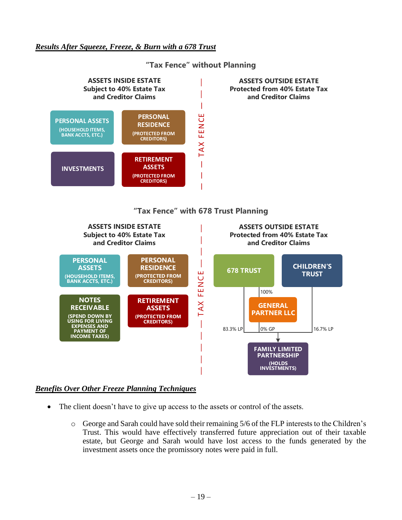### *Results After Squeeze, Freeze, & Burn with a 678 Trust*



# **"Tax Fence" without Planning "Tax Fence" With Planning** Tax Fence Without Planning

### *Benefits Over Other Freeze Planning Techniques*

**NOTES RECEIVABLE**

**(SPEND DOWN BY USING FOR LIVING EXPENSES AND PAYMENT OF INCOME TAXES)** 

• The client doesn't have to give up access to the assets or control of the assets.

**RETIREMENT ASSETS (PROTECTED FROM CREDITORS)**

o George and Sarah could have sold their remaining 5/6 of the FLP interests to the Children's Trust. This would have effectively transferred future appreciation out of their taxable estate, but George and Sarah would have lost access to the funds generated by the investment assets once the promissory notes were paid in full.

83.3% LP 0% GP 16.7% LP

**GENERAL PARTNER LLC**

0% GP

**FAMILY LIMITED PARTNERSHIP (HOLDS INVESTMENTS)**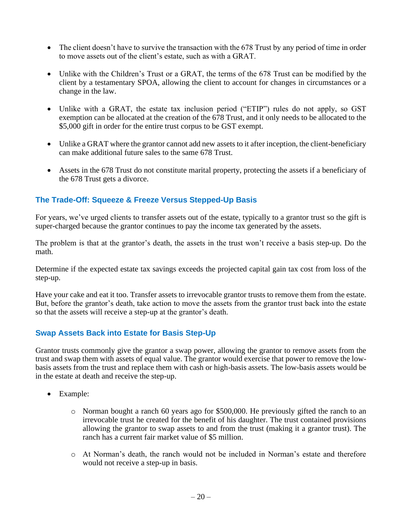- The client doesn't have to survive the transaction with the 678 Trust by any period of time in order to move assets out of the client's estate, such as with a GRAT.
- Unlike with the Children's Trust or a GRAT, the terms of the 678 Trust can be modified by the client by a testamentary SPOA, allowing the client to account for changes in circumstances or a change in the law.
- Unlike with a GRAT, the estate tax inclusion period ("ETIP") rules do not apply, so GST exemption can be allocated at the creation of the 678 Trust, and it only needs to be allocated to the \$5,000 gift in order for the entire trust corpus to be GST exempt.
- Unlike a GRAT where the grantor cannot add new assets to it after inception, the client-beneficiary can make additional future sales to the same 678 Trust.
- Assets in the 678 Trust do not constitute marital property, protecting the assets if a beneficiary of the 678 Trust gets a divorce.

## **The Trade-Off: Squeeze & Freeze Versus Stepped-Up Basis**

For years, we've urged clients to transfer assets out of the estate, typically to a grantor trust so the gift is super-charged because the grantor continues to pay the income tax generated by the assets.

The problem is that at the grantor's death, the assets in the trust won't receive a basis step-up. Do the math.

Determine if the expected estate tax savings exceeds the projected capital gain tax cost from loss of the step-up.

Have your cake and eat it too. Transfer assets to irrevocable grantor trusts to remove them from the estate. But, before the grantor's death, take action to move the assets from the grantor trust back into the estate so that the assets will receive a step-up at the grantor's death.

## **Swap Assets Back into Estate for Basis Step-Up**

Grantor trusts commonly give the grantor a swap power, allowing the grantor to remove assets from the trust and swap them with assets of equal value. The grantor would exercise that power to remove the lowbasis assets from the trust and replace them with cash or high-basis assets. The low-basis assets would be in the estate at death and receive the step-up.

- Example:
	- o Norman bought a ranch 60 years ago for \$500,000. He previously gifted the ranch to an irrevocable trust he created for the benefit of his daughter. The trust contained provisions allowing the grantor to swap assets to and from the trust (making it a grantor trust). The ranch has a current fair market value of \$5 million.
	- o At Norman's death, the ranch would not be included in Norman's estate and therefore would not receive a step-up in basis.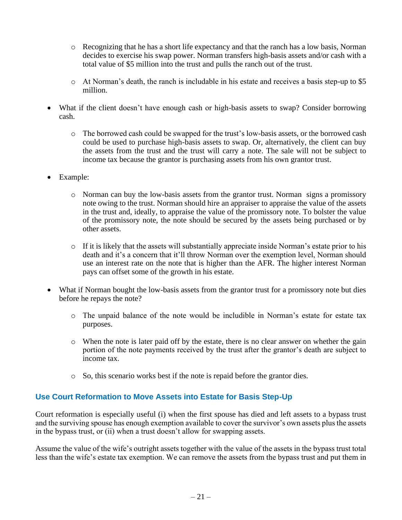- o Recognizing that he has a short life expectancy and that the ranch has a low basis, Norman decides to exercise his swap power. Norman transfers high-basis assets and/or cash with a total value of \$5 million into the trust and pulls the ranch out of the trust.
- o At Norman's death, the ranch is includable in his estate and receives a basis step-up to \$5 million.
- What if the client doesn't have enough cash or high-basis assets to swap? Consider borrowing cash.
	- o The borrowed cash could be swapped for the trust's low-basis assets, or the borrowed cash could be used to purchase high-basis assets to swap. Or, alternatively, the client can buy the assets from the trust and the trust will carry a note. The sale will not be subject to income tax because the grantor is purchasing assets from his own grantor trust.
- Example:
	- o Norman can buy the low-basis assets from the grantor trust. Norman signs a promissory note owing to the trust. Norman should hire an appraiser to appraise the value of the assets in the trust and, ideally, to appraise the value of the promissory note. To bolster the value of the promissory note, the note should be secured by the assets being purchased or by other assets.
	- $\circ$  If it is likely that the assets will substantially appreciate inside Norman's estate prior to his death and it's a concern that it'll throw Norman over the exemption level, Norman should use an interest rate on the note that is higher than the AFR. The higher interest Norman pays can offset some of the growth in his estate.
- What if Norman bought the low-basis assets from the grantor trust for a promissory note but dies before he repays the note?
	- o The unpaid balance of the note would be includible in Norman's estate for estate tax purposes.
	- o When the note is later paid off by the estate, there is no clear answer on whether the gain portion of the note payments received by the trust after the grantor's death are subject to income tax.
	- o So, this scenario works best if the note is repaid before the grantor dies.

## **Use Court Reformation to Move Assets into Estate for Basis Step-Up**

Court reformation is especially useful (i) when the first spouse has died and left assets to a bypass trust and the surviving spouse has enough exemption available to cover the survivor's own assets plus the assets in the bypass trust, or (ii) when a trust doesn't allow for swapping assets.

Assume the value of the wife's outright assets together with the value of the assets in the bypass trust total less than the wife's estate tax exemption. We can remove the assets from the bypass trust and put them in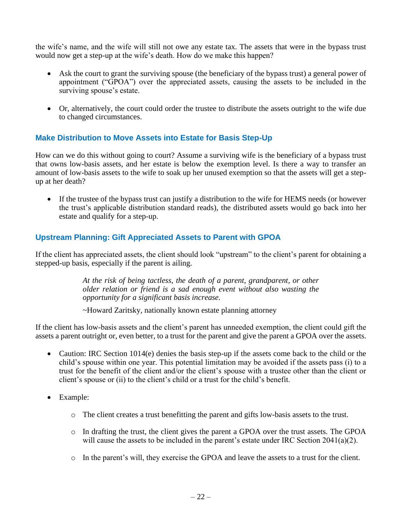the wife's name, and the wife will still not owe any estate tax. The assets that were in the bypass trust would now get a step-up at the wife's death. How do we make this happen?

- Ask the court to grant the surviving spouse (the beneficiary of the bypass trust) a general power of appointment ("GPOA") over the appreciated assets, causing the assets to be included in the surviving spouse's estate.
- Or, alternatively, the court could order the trustee to distribute the assets outright to the wife due to changed circumstances.

### **Make Distribution to Move Assets into Estate for Basis Step-Up**

How can we do this without going to court? Assume a surviving wife is the beneficiary of a bypass trust that owns low-basis assets, and her estate is below the exemption level. Is there a way to transfer an amount of low-basis assets to the wife to soak up her unused exemption so that the assets will get a stepup at her death?

• If the trustee of the bypass trust can justify a distribution to the wife for HEMS needs (or however the trust's applicable distribution standard reads), the distributed assets would go back into her estate and qualify for a step-up.

### **Upstream Planning: Gift Appreciated Assets to Parent with GPOA**

If the client has appreciated assets, the client should look "upstream" to the client's parent for obtaining a stepped-up basis, especially if the parent is ailing.

> *At the risk of being tactless, the death of a parent, grandparent, or other older relation or friend is a sad enough event without also wasting the opportunity for a significant basis increase.*

~Howard Zaritsky, nationally known estate planning attorney

If the client has low-basis assets and the client's parent has unneeded exemption, the client could gift the assets a parent outright or, even better, to a trust for the parent and give the parent a GPOA over the assets.

- Caution: IRC Section 1014(e) denies the basis step-up if the assets come back to the child or the child's spouse within one year. This potential limitation may be avoided if the assets pass (i) to a trust for the benefit of the client and/or the client's spouse with a trustee other than the client or client's spouse or (ii) to the client's child or a trust for the child's benefit.
- Example:
	- o The client creates a trust benefitting the parent and gifts low-basis assets to the trust.
	- o In drafting the trust, the client gives the parent a GPOA over the trust assets. The GPOA will cause the assets to be included in the parent's estate under IRC Section 2041(a)(2).
	- o In the parent's will, they exercise the GPOA and leave the assets to a trust for the client.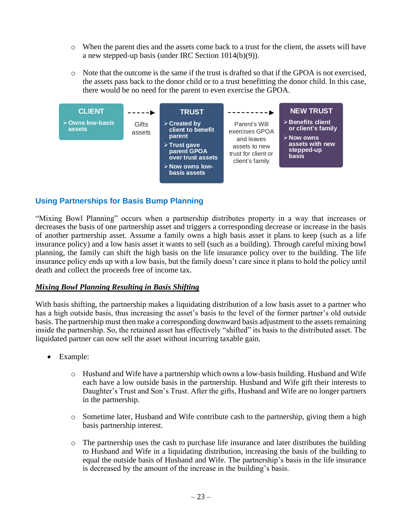- o When the parent dies and the assets come back to a trust for the client, the assets will have a new stepped-up basis (under IRC Section 1014(b)(9)).
- o Note that the outcome is the same if the trust is drafted so that if the GPOA is not exercised, the assets pass back to the donor child or to a trust benefitting the donor child. In this case, there would be no need for the parent to even exercise the GPOA.



## **Using Partnerships for Basis Bump Planning**

"Mixing Bowl Planning" occurs when a partnership distributes property in a way that increases or decreases the basis of one partnership asset and triggers a corresponding decrease or increase in the basis of another partnership asset. Assume a family owns a high basis asset it plans to keep (such as a life insurance policy) and a low basis asset it wants to sell (such as a building). Through careful mixing bowl planning, the family can shift the high basis on the life insurance policy over to the building. The life insurance policy ends up with a low basis, but the family doesn't care since it plans to hold the policy until death and collect the proceeds free of income tax.

### *Mixing Bowl Planning Resulting in Basis Shifting*

With basis shifting, the partnership makes a liquidating distribution of a low basis asset to a partner who has a high outside basis, thus increasing the asset's basis to the level of the former partner's old outside basis. The partnership must then make a corresponding downward basis adjustment to the assets remaining inside the partnership. So, the retained asset has effectively "shifted" its basis to the distributed asset. The liquidated partner can now sell the asset without incurring taxable gain.

- Example:
	- o Husband and Wife have a partnership which owns a low-basis building. Husband and Wife each have a low outside basis in the partnership. Husband and Wife gift their interests to Daughter's Trust and Son's Trust. After the gifts, Husband and Wife are no longer partners in the partnership.
	- o Sometime later, Husband and Wife contribute cash to the partnership, giving them a high basis partnership interest.
	- o The partnership uses the cash to purchase life insurance and later distributes the building to Husband and Wife in a liquidating distribution, increasing the basis of the building to equal the outside basis of Husband and Wife. The partnership's basis in the life insurance is decreased by the amount of the increase in the building's basis.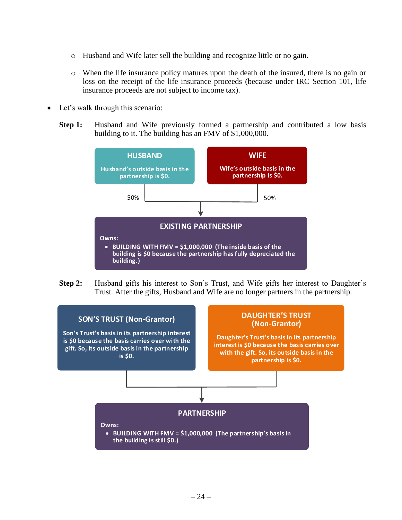- o Husband and Wife later sell the building and recognize little or no gain.
- o When the life insurance policy matures upon the death of the insured, there is no gain or loss on the receipt of the life insurance proceeds (because under IRC Section 101, life insurance proceeds are not subject to income tax).
- Let's walk through this scenario:
	- **Step 1:** Husband and Wife previously formed a partnership and contributed a low basis building to it. The building has an FMV of \$1,000,000.



**Step 2:** Husband gifts his interest to Son's Trust, and Wife gifts her interest to Daughter's Trust. After the gifts, Husband and Wife are no longer partners in the partnership.

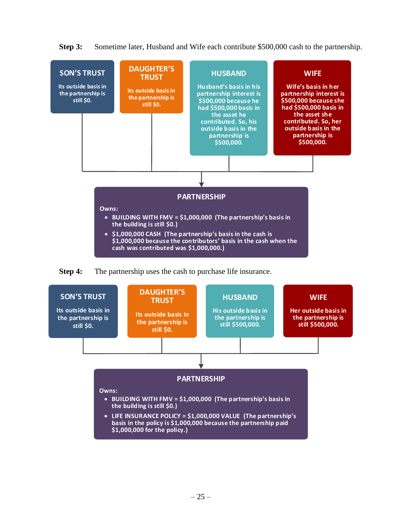**Step 3:** Sometime later, Husband and Wife each contribute \$500,000 cash to the partnership.



**Step 4:** The partnership uses the cash to purchase life insurance.

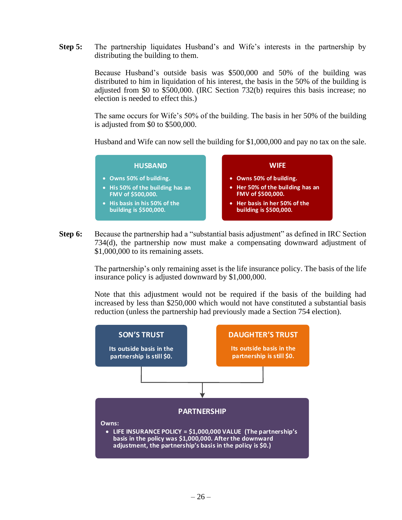**Step 5:** The partnership liquidates Husband's and Wife's interests in the partnership by distributing the building to them.

> Because Husband's outside basis was \$500,000 and 50% of the building was distributed to him in liquidation of his interest, the basis in the 50% of the building is adjusted from \$0 to \$500,000. (IRC Section 732(b) requires this basis increase; no election is needed to effect this.)

> The same occurs for Wife's 50% of the building. The basis in her 50% of the building is adjusted from \$0 to \$500,000.

> Husband and Wife can now sell the building for \$1,000,000 and pay no tax on the sale.



**Step 6:** Because the partnership had a "substantial basis adjustment" as defined in IRC Section 734(d), the partnership now must make a compensating downward adjustment of \$1,000,000 to its remaining assets.

> The partnership's only remaining asset is the life insurance policy. The basis of the life insurance policy is adjusted downward by \$1,000,000.

> Note that this adjustment would not be required if the basis of the building had increased by less than \$250,000 which would not have constituted a substantial basis reduction (unless the partnership had previously made a Section 754 election).

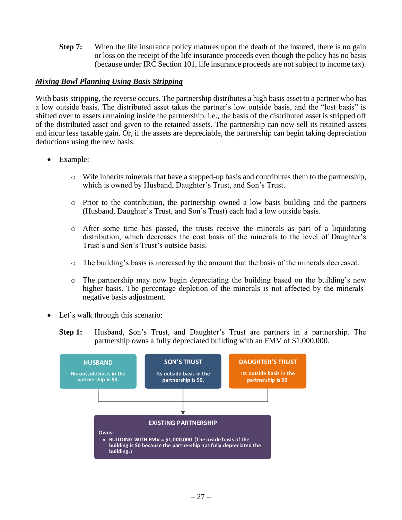**Step 7:** When the life insurance policy matures upon the death of the insured, there is no gain or loss on the receipt of the life insurance proceeds even though the policy has no basis (because under IRC Section 101, life insurance proceeds are not subject to income tax).

### *Mixing Bowl Planning Using Basis Stripping*

With basis stripping, the reverse occurs. The partnership distributes a high basis asset to a partner who has a low outside basis. The distributed asset takes the partner's low outside basis, and the "lost basis" is shifted over to assets remaining inside the partnership, i.e., the basis of the distributed asset is stripped off of the distributed asset and given to the retained assets. The partnership can now sell its retained assets and incur less taxable gain. Or, if the assets are depreciable, the partnership can begin taking depreciation deductions using the new basis.

- Example:
	- o Wife inherits minerals that have a stepped-up basis and contributes them to the partnership, which is owned by Husband, Daughter's Trust, and Son's Trust.
	- o Prior to the contribution, the partnership owned a low basis building and the partners (Husband, Daughter's Trust, and Son's Trust) each had a low outside basis.
	- o After some time has passed, the trusts receive the minerals as part of a liquidating distribution, which decreases the cost basis of the minerals to the level of Daughter's Trust's and Son's Trust's outside basis.
	- o The building's basis is increased by the amount that the basis of the minerals decreased.
	- o The partnership may now begin depreciating the building based on the building's new higher basis. The percentage depletion of the minerals is not affected by the minerals' negative basis adjustment.
- Let's walk through this scenario:
	- **Step 1:** Husband, Son's Trust, and Daughter's Trust are partners in a partnership. The partnership owns a fully depreciated building with an FMV of \$1,000,000.

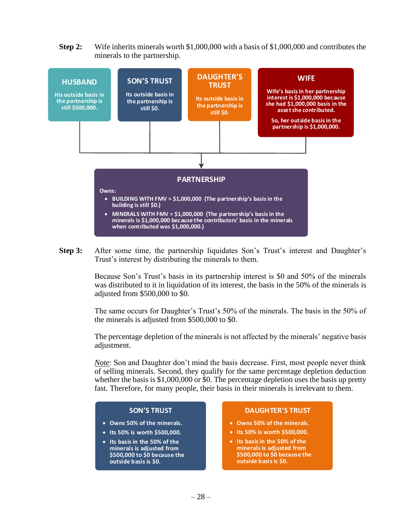**Step 2:** Wife inherits minerals worth \$1,000,000 with a basis of \$1,000,000 and contributes the minerals to the partnership.



**Step 3:** After some time, the partnership liquidates Son's Trust's interest and Daughter's Trust's interest by distributing the minerals to them.

> Because Son's Trust's basis in its partnership interest is \$0 and 50% of the minerals was distributed to it in liquidation of its interest, the basis in the 50% of the minerals is adjusted from \$500,000 to \$0.

> The same occurs for Daughter's Trust's 50% of the minerals. The basis in the 50% of the minerals is adjusted from \$500,000 to \$0.

> The percentage depletion of the minerals is not affected by the minerals' negative basis adjustment.

> *Note*: Son and Daughter don't mind the basis decrease. First, most people never think of selling minerals. Second, they qualify for the same percentage depletion deduction whether the basis is \$1,000,000 or \$0. The percentage depletion uses the basis up pretty fast. Therefore, for many people, their basis in their minerals is irrelevant to them.

#### **SON S TRUST**

- **Owns 5 0% of the minerals.**
- **Its 5 0% is worth \$500,000.**
- **Its basis in the 5 0% of the minerals is adjusted from \$500,000 to \$0 because the outside basis is \$0.**

#### **DAUGHTER S TRUST**

- **Owns 5 0% of the minerals.**
- **Its 5 0% is worth \$500,000.**
- **Its basis in the 5 0% of the minerals is adjusted from \$500,000 to \$0 because the outside basis is \$0.**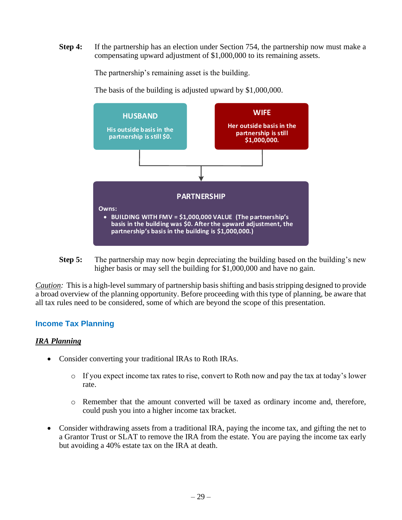**Step 4:** If the partnership has an election under Section 754, the partnership now must make a compensating upward adjustment of \$1,000,000 to its remaining assets.

The partnership's remaining asset is the building.

The basis of the building is adjusted upward by \$1,000,000.



**Step 5:** The partnership may now begin depreciating the building based on the building's new higher basis or may sell the building for \$1,000,000 and have no gain.

*Caution:* This is a high-level summary of partnership basis shifting and basis stripping designed to provide a broad overview of the planning opportunity. Before proceeding with this type of planning, be aware that all tax rules need to be considered, some of which are beyond the scope of this presentation.

### **Income Tax Planning**

### *IRA Planning*

- Consider converting your traditional IRAs to Roth IRAs.
	- $\circ$  If you expect income tax rates to rise, convert to Roth now and pay the tax at today's lower rate.
	- o Remember that the amount converted will be taxed as ordinary income and, therefore, could push you into a higher income tax bracket.
- Consider withdrawing assets from a traditional IRA, paying the income tax, and gifting the net to a Grantor Trust or SLAT to remove the IRA from the estate. You are paying the income tax early but avoiding a 40% estate tax on the IRA at death.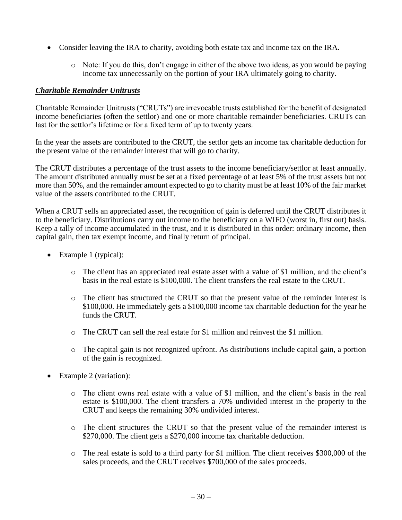- Consider leaving the IRA to charity, avoiding both estate tax and income tax on the IRA.
	- o Note: If you do this, don't engage in either of the above two ideas, as you would be paying income tax unnecessarily on the portion of your IRA ultimately going to charity.

### *Charitable Remainder Unitrusts*

Charitable Remainder Unitrusts ("CRUTs") are irrevocable trusts established for the benefit of designated income beneficiaries (often the settlor) and one or more charitable remainder beneficiaries. CRUTs can last for the settlor's lifetime or for a fixed term of up to twenty years.

In the year the assets are contributed to the CRUT, the settlor gets an income tax charitable deduction for the present value of the remainder interest that will go to charity.

The CRUT distributes a percentage of the trust assets to the income beneficiary/settlor at least annually. The amount distributed annually must be set at a fixed percentage of at least 5% of the trust assets but not more than 50%, and the remainder amount expected to go to charity must be at least 10% of the fair market value of the assets contributed to the CRUT.

When a CRUT sells an appreciated asset, the recognition of gain is deferred until the CRUT distributes it to the beneficiary. Distributions carry out income to the beneficiary on a WIFO (worst in, first out) basis. Keep a tally of income accumulated in the trust, and it is distributed in this order: ordinary income, then capital gain, then tax exempt income, and finally return of principal.

- Example 1 (typical):
	- o The client has an appreciated real estate asset with a value of \$1 million, and the client's basis in the real estate is \$100,000. The client transfers the real estate to the CRUT.
	- o The client has structured the CRUT so that the present value of the reminder interest is \$100,000. He immediately gets a \$100,000 income tax charitable deduction for the year he funds the CRUT.
	- o The CRUT can sell the real estate for \$1 million and reinvest the \$1 million.
	- o The capital gain is not recognized upfront. As distributions include capital gain, a portion of the gain is recognized.
- Example 2 (variation):
	- o The client owns real estate with a value of \$1 million, and the client's basis in the real estate is \$100,000. The client transfers a 70% undivided interest in the property to the CRUT and keeps the remaining 30% undivided interest.
	- o The client structures the CRUT so that the present value of the remainder interest is \$270,000. The client gets a \$270,000 income tax charitable deduction.
	- $\circ$  The real estate is sold to a third party for \$1 million. The client receives \$300,000 of the sales proceeds, and the CRUT receives \$700,000 of the sales proceeds.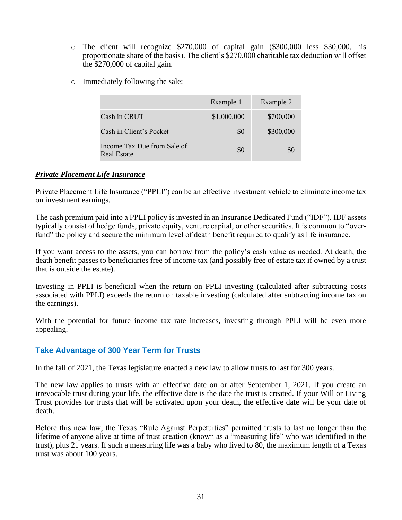- o The client will recognize \$270,000 of capital gain (\$300,000 less \$30,000, his proportionate share of the basis). The client's \$270,000 charitable tax deduction will offset the \$270,000 of capital gain.
- o Immediately following the sale:

|                                            | Example 1   | Example 2 |
|--------------------------------------------|-------------|-----------|
| Cash in CRUT                               | \$1,000,000 | \$700,000 |
| Cash in Client's Pocket                    | \$0         | \$300,000 |
| Income Tax Due from Sale of<br>Real Estate | \$0         |           |

### *Private Placement Life Insurance*

Private Placement Life Insurance ("PPLI") can be an effective investment vehicle to eliminate income tax on investment earnings.

The cash premium paid into a PPLI policy is invested in an Insurance Dedicated Fund ("IDF"). IDF assets typically consist of hedge funds, private equity, venture capital, or other securities. It is common to "overfund" the policy and secure the minimum level of death benefit required to qualify as life insurance.

If you want access to the assets, you can borrow from the policy's cash value as needed. At death, the death benefit passes to beneficiaries free of income tax (and possibly free of estate tax if owned by a trust that is outside the estate).

Investing in PPLI is beneficial when the return on PPLI investing (calculated after subtracting costs associated with PPLI) exceeds the return on taxable investing (calculated after subtracting income tax on the earnings).

With the potential for future income tax rate increases, investing through PPLI will be even more appealing.

### **Take Advantage of 300 Year Term for Trusts**

In the fall of 2021, the Texas legislature enacted a new law to allow trusts to last for 300 years.

The new law applies to trusts with an effective date on or after September 1, 2021. If you create an irrevocable trust during your life, the effective date is the date the trust is created. If your Will or Living Trust provides for trusts that will be activated upon your death, the effective date will be your date of death.

Before this new law, the Texas "Rule Against Perpetuities" permitted trusts to last no longer than the lifetime of anyone alive at time of trust creation (known as a "measuring life" who was identified in the trust), plus 21 years. If such a measuring life was a baby who lived to 80, the maximum length of a Texas trust was about 100 years.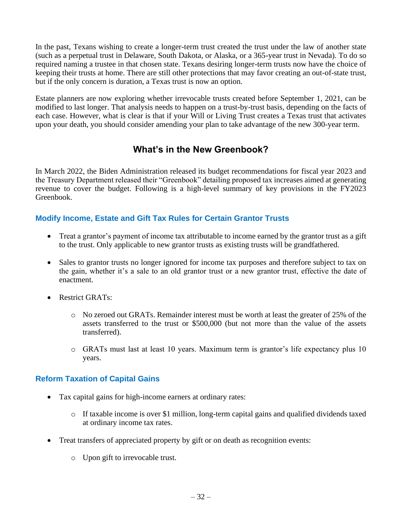In the past, Texans wishing to create a longer-term trust created the trust under the law of another state (such as a perpetual trust in Delaware, South Dakota, or Alaska, or a 365-year trust in Nevada). To do so required naming a trustee in that chosen state. Texans desiring longer-term trusts now have the choice of keeping their trusts at home. There are still other protections that may favor creating an out-of-state trust, but if the only concern is duration, a Texas trust is now an option.

Estate planners are now exploring whether irrevocable trusts created before September 1, 2021, can be modified to last longer. That analysis needs to happen on a trust-by-trust basis, depending on the facts of each case. However, what is clear is that if your Will or Living Trust creates a Texas trust that activates upon your death, you should consider amending your plan to take advantage of the new 300-year term.

## **What's in the New Greenbook?**

In March 2022, the Biden Administration released its budget recommendations for fiscal year 2023 and the Treasury Department released their "Greenbook" detailing proposed tax increases aimed at generating revenue to cover the budget. Following is a high-level summary of key provisions in the FY2023 Greenbook.

### **Modify Income, Estate and Gift Tax Rules for Certain Grantor Trusts**

- Treat a grantor's payment of income tax attributable to income earned by the grantor trust as a gift to the trust. Only applicable to new grantor trusts as existing trusts will be grandfathered.
- Sales to grantor trusts no longer ignored for income tax purposes and therefore subject to tax on the gain, whether it's a sale to an old grantor trust or a new grantor trust, effective the date of enactment.
- Restrict GRATs:
	- o No zeroed out GRATs. Remainder interest must be worth at least the greater of 25% of the assets transferred to the trust or \$500,000 (but not more than the value of the assets transferred).
	- o GRATs must last at least 10 years. Maximum term is grantor's life expectancy plus 10 years.

### **Reform Taxation of Capital Gains**

- Tax capital gains for high-income earners at ordinary rates:
	- o If taxable income is over \$1 million, long-term capital gains and qualified dividends taxed at ordinary income tax rates.
- Treat transfers of appreciated property by gift or on death as recognition events:
	- o Upon gift to irrevocable trust.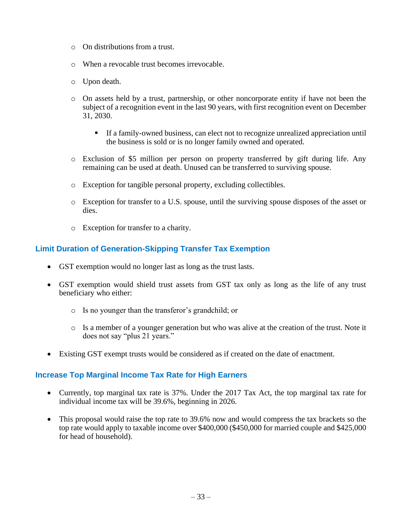- o On distributions from a trust.
- o When a revocable trust becomes irrevocable.
- o Upon death.
- o On assets held by a trust, partnership, or other noncorporate entity if have not been the subject of a recognition event in the last 90 years, with first recognition event on December 31, 2030.
	- If a family-owned business, can elect not to recognize unrealized appreciation until the business is sold or is no longer family owned and operated.
- o Exclusion of \$5 million per person on property transferred by gift during life. Any remaining can be used at death. Unused can be transferred to surviving spouse.
- o Exception for tangible personal property, excluding collectibles.
- o Exception for transfer to a U.S. spouse, until the surviving spouse disposes of the asset or dies.
- o Exception for transfer to a charity.

### **Limit Duration of Generation-Skipping Transfer Tax Exemption**

- GST exemption would no longer last as long as the trust lasts.
- GST exemption would shield trust assets from GST tax only as long as the life of any trust beneficiary who either:
	- o Is no younger than the transferor's grandchild; or
	- o Is a member of a younger generation but who was alive at the creation of the trust. Note it does not say "plus 21 years."
- Existing GST exempt trusts would be considered as if created on the date of enactment.

## **Increase Top Marginal Income Tax Rate for High Earners**

- Currently, top marginal tax rate is 37%. Under the 2017 Tax Act, the top marginal tax rate for individual income tax will be 39.6%, beginning in 2026.
- This proposal would raise the top rate to 39.6% now and would compress the tax brackets so the top rate would apply to taxable income over \$400,000 (\$450,000 for married couple and \$425,000 for head of household).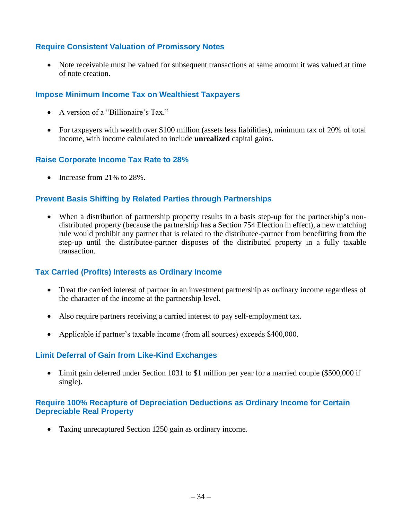## **Require Consistent Valuation of Promissory Notes**

• Note receivable must be valued for subsequent transactions at same amount it was valued at time of note creation.

### **Impose Minimum Income Tax on Wealthiest Taxpayers**

- A version of a "Billionaire's Tax."
- For taxpayers with wealth over \$100 million (assets less liabilities), minimum tax of 20% of total income, with income calculated to include **unrealized** capital gains.

### **Raise Corporate Income Tax Rate to 28%**

• Increase from 21% to 28%.

## **Prevent Basis Shifting by Related Parties through Partnerships**

• When a distribution of partnership property results in a basis step-up for the partnership's nondistributed property (because the partnership has a Section 754 Election in effect), a new matching rule would prohibit any partner that is related to the distributee-partner from benefitting from the step-up until the distributee-partner disposes of the distributed property in a fully taxable transaction.

### **Tax Carried (Profits) Interests as Ordinary Income**

- Treat the carried interest of partner in an investment partnership as ordinary income regardless of the character of the income at the partnership level.
- Also require partners receiving a carried interest to pay self-employment tax.
- Applicable if partner's taxable income (from all sources) exceeds \$400,000.

### **Limit Deferral of Gain from Like-Kind Exchanges**

• Limit gain deferred under Section 1031 to \$1 million per year for a married couple (\$500,000 if single).

### **Require 100% Recapture of Depreciation Deductions as Ordinary Income for Certain Depreciable Real Property**

• Taxing unrecaptured Section 1250 gain as ordinary income.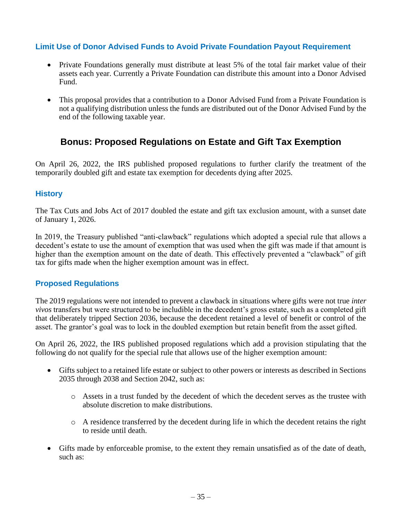## **Limit Use of Donor Advised Funds to Avoid Private Foundation Payout Requirement**

- Private Foundations generally must distribute at least 5% of the total fair market value of their assets each year. Currently a Private Foundation can distribute this amount into a Donor Advised Fund.
- This proposal provides that a contribution to a Donor Advised Fund from a Private Foundation is not a qualifying distribution unless the funds are distributed out of the Donor Advised Fund by the end of the following taxable year.

## **Bonus: Proposed Regulations on Estate and Gift Tax Exemption**

On April 26, 2022, the IRS published proposed regulations to further clarify the treatment of the temporarily doubled gift and estate tax exemption for decedents dying after 2025.

### **History**

The Tax Cuts and Jobs Act of 2017 doubled the estate and gift tax exclusion amount, with a sunset date of January 1, 2026.

In 2019, the Treasury published "anti-clawback" regulations which adopted a special rule that allows a decedent's estate to use the amount of exemption that was used when the gift was made if that amount is higher than the exemption amount on the date of death. This effectively prevented a "clawback" of gift tax for gifts made when the higher exemption amount was in effect.

## **Proposed Regulations**

The 2019 regulations were not intended to prevent a clawback in situations where gifts were not true *inter vivos* transfers but were structured to be includible in the decedent's gross estate, such as a completed gift that deliberately tripped Section 2036, because the decedent retained a level of benefit or control of the asset. The grantor's goal was to lock in the doubled exemption but retain benefit from the asset gifted.

On April 26, 2022, the IRS published proposed regulations which add a provision stipulating that the following do not qualify for the special rule that allows use of the higher exemption amount:

- Gifts subject to a retained life estate or subject to other powers or interests as described in Sections 2035 through 2038 and Section 2042, such as:
	- o Assets in a trust funded by the decedent of which the decedent serves as the trustee with absolute discretion to make distributions.
	- o A residence transferred by the decedent during life in which the decedent retains the right to reside until death.
- Gifts made by enforceable promise, to the extent they remain unsatisfied as of the date of death, such as: